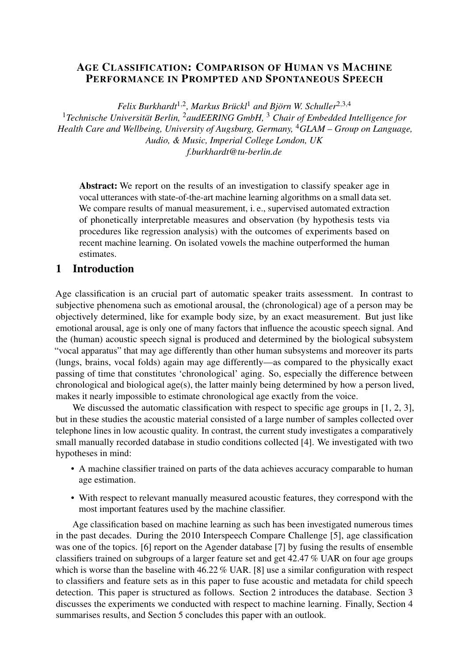# AGE CLASSIFICATION: COMPARISON OF HUMAN VS MACHINE PERFORMANCE IN PROMPTED AND SPONTANEOUS SPEECH

*Felix Burkhardt*1,<sup>2</sup> *, Markus Brückl*<sup>1</sup> *and Björn W. Schuller*2,3,<sup>4</sup> <sup>1</sup>*Technische Universität Berlin,* <sup>2</sup>*audEERING GmbH,* <sup>3</sup> *Chair of Embedded Intelligence for Health Care and Wellbeing, University of Augsburg, Germany,* <sup>4</sup>*GLAM – Group on Language, Audio, & Music, Imperial College London, UK [f.burkhardt@tu-berlin.de](mailto:f.burkhardt@tu-berlin.de)*

Abstract: We report on the results of an investigation to classify speaker age in vocal utterances with state-of-the-art machine learning algorithms on a small data set. We compare results of manual measurement, i. e., supervised automated extraction of phonetically interpretable measures and observation (by hypothesis tests via procedures like regression analysis) with the outcomes of experiments based on recent machine learning. On isolated vowels the machine outperformed the human estimates.

#### 1 Introduction

Age classification is an crucial part of automatic speaker traits assessment. In contrast to subjective phenomena such as emotional arousal, the (chronological) age of a person may be objectively determined, like for example body size, by an exact measurement. But just like emotional arousal, age is only one of many factors that influence the acoustic speech signal. And the (human) acoustic speech signal is produced and determined by the biological subsystem "vocal apparatus" that may age differently than other human subsystems and moreover its parts (lungs, brains, vocal folds) again may age differently—as compared to the physically exact passing of time that constitutes 'chronological' aging. So, especially the difference between chronological and biological age(s), the latter mainly being determined by how a person lived, makes it nearly impossible to estimate chronological age exactly from the voice.

We discussed the automatic classification with respect to specific age groups in [\[1,](#page-6-0) [2,](#page-6-1) [3\]](#page-6-2), but in these studies the acoustic material consisted of a large number of samples collected over telephone lines in low acoustic quality. In contrast, the current study investigates a comparatively small manually recorded database in studio conditions collected [\[4\]](#page-6-3). We investigated with two hypotheses in mind:

- A machine classifier trained on parts of the data achieves accuracy comparable to human age estimation.
- With respect to relevant manually measured acoustic features, they correspond with the most important features used by the machine classifier.

Age classification based on machine learning as such has been investigated numerous times in the past decades. During the 2010 Interspeech Compare Challenge [\[5\]](#page-6-4), age classification was one of the topics. [\[6\]](#page-7-0) report on the Agender database [\[7\]](#page-7-1) by fusing the results of ensemble classifiers trained on subgroups of a larger feature set and get 42.47 % UAR on four age groups which is worse than the baseline with 46.22 % UAR. [\[8\]](#page-7-2) use a similar configuration with respect to classifiers and feature sets as in this paper to fuse acoustic and metadata for child speech detection. This paper is structured as follows. Section [2](#page-1-0) introduces the database. Section [3](#page-2-0) discusses the experiments we conducted with respect to machine learning. Finally, Section [4](#page-4-0) summarises results, and Section [5](#page-5-0) concludes this paper with an outlook.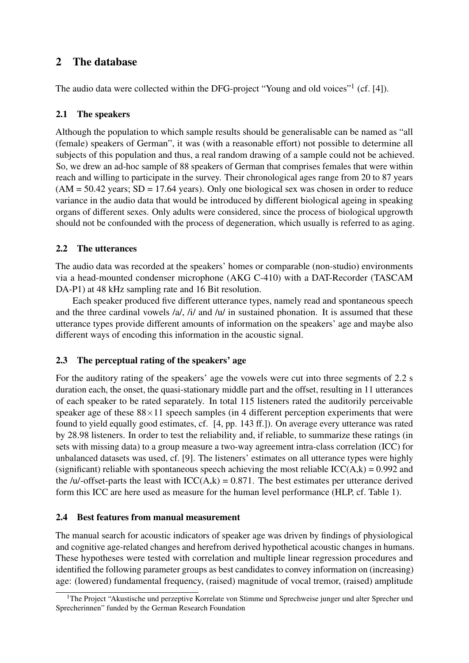# <span id="page-1-0"></span>2 The database

The audio data were collected within the DFG-project "Young and old voices"<sup>[1](#page-1-1)</sup> (cf. [\[4\]](#page-6-3)).

# 2.1 The speakers

Although the population to which sample results should be generalisable can be named as "all (female) speakers of German", it was (with a reasonable effort) not possible to determine all subjects of this population and thus, a real random drawing of a sample could not be achieved. So, we drew an ad-hoc sample of 88 speakers of German that comprises females that were within reach and willing to participate in the survey. Their chronological ages range from 20 to 87 years  $(AM = 50.42 \text{ years}; SD = 17.64 \text{ years})$ . Only one biological sex was chosen in order to reduce variance in the audio data that would be introduced by different biological ageing in speaking organs of different sexes. Only adults were considered, since the process of biological upgrowth should not be confounded with the process of degeneration, which usually is referred to as aging.

# 2.2 The utterances

The audio data was recorded at the speakers' homes or comparable (non-studio) environments via a head-mounted condenser microphone (AKG C-410) with a DAT-Recorder (TASCAM DA-P1) at 48 kHz sampling rate and 16 Bit resolution.

Each speaker produced five different utterance types, namely read and spontaneous speech and the three cardinal vowels /a/, /i/ and /u/ in sustained phonation. It is assumed that these utterance types provide different amounts of information on the speakers' age and maybe also different ways of encoding this information in the acoustic signal.

# 2.3 The perceptual rating of the speakers' age

For the auditory rating of the speakers' age the vowels were cut into three segments of 2.2 s duration each, the onset, the quasi-stationary middle part and the offset, resulting in 11 utterances of each speaker to be rated separately. In total 115 listeners rated the auditorily perceivable speaker age of these  $88\times11$  speech samples (in 4 different perception experiments that were found to yield equally good estimates, cf. [\[4,](#page-6-3) pp. 143 ff.]). On average every utterance was rated by 28.98 listeners. In order to test the reliability and, if reliable, to summarize these ratings (in sets with missing data) to a group measure a two-way agreement intra-class correlation (ICC) for unbalanced datasets was used, cf. [\[9\]](#page-7-3). The listeners' estimates on all utterance types were highly (significant) reliable with spontaneous speech achieving the most reliable  $ICC(A,k) = 0.992$  and the /u/-offset-parts the least with  $ICC(A,k) = 0.871$ . The best estimates per utterance derived form this ICC are here used as measure for the human level performance (HLP, cf. Table [1\)](#page-6-5).

# 2.4 Best features from manual measurement

The manual search for acoustic indicators of speaker age was driven by findings of physiological and cognitive age-related changes and herefrom derived hypothetical acoustic changes in humans. These hypotheses were tested with correlation and multiple linear regression procedures and identified the following parameter groups as best candidates to convey information on (increasing) age: (lowered) fundamental frequency, (raised) magnitude of vocal tremor, (raised) amplitude

<span id="page-1-1"></span><sup>&</sup>lt;sup>1</sup>The Project "Akustische und perzeptive Korrelate von Stimme und Sprechweise junger und alter Sprecher und Sprecherinnen" funded by the German Research Foundation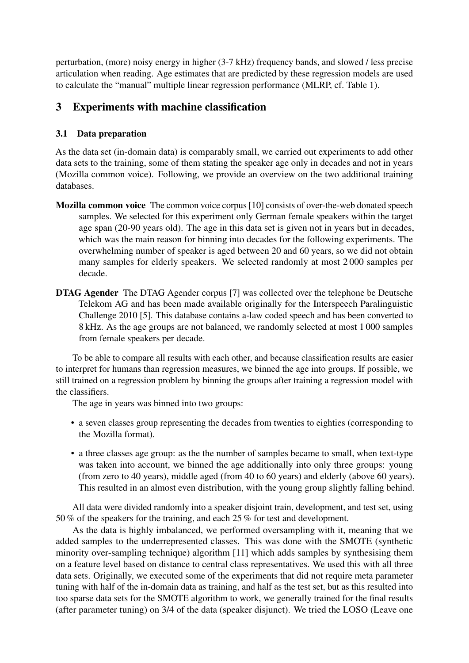perturbation, (more) noisy energy in higher (3-7 kHz) frequency bands, and slowed / less precise articulation when reading. Age estimates that are predicted by these regression models are used to calculate the "manual" multiple linear regression performance (MLRP, cf. Table [1\)](#page-6-5).

# <span id="page-2-0"></span>3 Experiments with machine classification

# <span id="page-2-1"></span>3.1 Data preparation

As the data set (in-domain data) is comparably small, we carried out experiments to add other data sets to the training, some of them stating the speaker age only in decades and not in years (Mozilla common voice). Following, we provide an overview on the two additional training databases.

- Mozilla common voice The common voice corpus [\[10\]](#page-7-4) consists of over-the-web donated speech samples. We selected for this experiment only German female speakers within the target age span (20-90 years old). The age in this data set is given not in years but in decades, which was the main reason for binning into decades for the following experiments. The overwhelming number of speaker is aged between 20 and 60 years, so we did not obtain many samples for elderly speakers. We selected randomly at most 2 000 samples per decade.
- DTAG Agender The DTAG Agender corpus [\[7\]](#page-7-1) was collected over the telephone be Deutsche Telekom AG and has been made available originally for the Interspeech Paralinguistic Challenge 2010 [\[5\]](#page-6-4). This database contains a-law coded speech and has been converted to 8 kHz. As the age groups are not balanced, we randomly selected at most 1 000 samples from female speakers per decade.

To be able to compare all results with each other, and because classification results are easier to interpret for humans than regression measures, we binned the age into groups. If possible, we still trained on a regression problem by binning the groups after training a regression model with the classifiers.

The age in years was binned into two groups:

- a seven classes group representing the decades from twenties to eighties (corresponding to the Mozilla format).
- a three classes age group: as the the number of samples became to small, when text-type was taken into account, we binned the age additionally into only three groups: young (from zero to 40 years), middle aged (from 40 to 60 years) and elderly (above 60 years). This resulted in an almost even distribution, with the young group slightly falling behind.

All data were divided randomly into a speaker disjoint train, development, and test set, using 50 % of the speakers for the training, and each 25 % for test and development.

As the data is highly imbalanced, we performed oversampling with it, meaning that we added samples to the underrepresented classes. This was done with the SMOTE (synthetic minority over-sampling technique) algorithm [\[11\]](#page-7-5) which adds samples by synthesising them on a feature level based on distance to central class representatives. We used this with all three data sets. Originally, we executed some of the experiments that did not require meta parameter tuning with half of the in-domain data as training, and half as the test set, but as this resulted into too sparse data sets for the SMOTE algorithm to work, we generally trained for the final results (after parameter tuning) on 3/4 of the data (speaker disjunct). We tried the LOSO (Leave one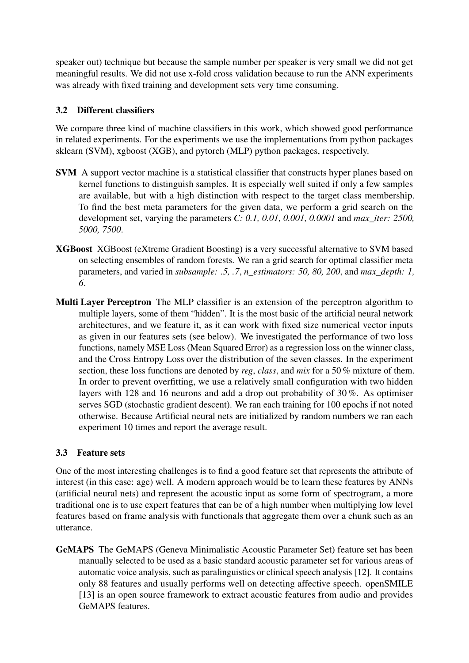speaker out) technique but because the sample number per speaker is very small we did not get meaningful results. We did not use x-fold cross validation because to run the ANN experiments was already with fixed training and development sets very time consuming.

# <span id="page-3-0"></span>3.2 Different classifiers

We compare three kind of machine classifiers in this work, which showed good performance in related experiments. For the experiments we use the implementations from python packages sklearn (SVM), xgboost (XGB), and pytorch (MLP) python packages, respectively.

- SVM A support vector machine is a statistical classifier that constructs hyper planes based on kernel functions to distinguish samples. It is especially well suited if only a few samples are available, but with a high distinction with respect to the target class membership. To find the best meta parameters for the given data, we perform a grid search on the development set, varying the parameters *C: 0.1, 0.01, 0.001, 0.0001* and *max\_iter: 2500, 5000, 7500*.
- XGBoost XGBoost (eXtreme Gradient Boosting) is a very successful alternative to SVM based on selecting ensembles of random forests. We ran a grid search for optimal classifier meta parameters, and varied in *subsample: .5, .7*, *n\_estimators: 50, 80, 200*, and *max\_depth: 1, 6*.
- Multi Layer Perceptron The MLP classifier is an extension of the perceptron algorithm to multiple layers, some of them "hidden". It is the most basic of the artificial neural network architectures, and we feature it, as it can work with fixed size numerical vector inputs as given in our features sets (see below). We investigated the performance of two loss functions, namely MSE Loss (Mean Squared Error) as a regression loss on the winner class, and the Cross Entropy Loss over the distribution of the seven classes. In the experiment section, these loss functions are denoted by *reg*, *class*, and *mix* for a 50 % mixture of them. In order to prevent overfitting, we use a relatively small configuration with two hidden layers with 128 and 16 neurons and add a drop out probability of 30 %. As optimiser serves SGD (stochastic gradient descent). We ran each training for 100 epochs if not noted otherwise. Because Artificial neural nets are initialized by random numbers we ran each experiment 10 times and report the average result.

# 3.3 Feature sets

One of the most interesting challenges is to find a good feature set that represents the attribute of interest (in this case: age) well. A modern approach would be to learn these features by ANNs (artificial neural nets) and represent the acoustic input as some form of spectrogram, a more traditional one is to use expert features that can be of a high number when multiplying low level features based on frame analysis with functionals that aggregate them over a chunk such as an utterance.

GeMAPS The GeMAPS (Geneva Minimalistic Acoustic Parameter Set) feature set has been manually selected to be used as a basic standard acoustic parameter set for various areas of automatic voice analysis, such as paralinguistics or clinical speech analysis [\[12\]](#page-7-6). It contains only 88 features and usually performs well on detecting affective speech. openSMILE [\[13\]](#page-7-7) is an open source framework to extract acoustic features from audio and provides GeMAPS features.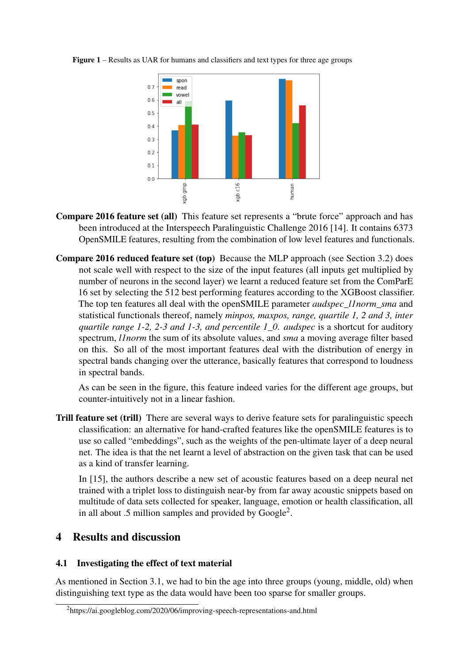

<span id="page-4-2"></span>Figure 1 – Results as UAR for humans and classifiers and text types for three age groups

- Compare 2016 feature set (all) This feature set represents a "brute force" approach and has been introduced at the Interspeech Paralinguistic Challenge 2016 [\[14\]](#page-7-8). It contains 6373 OpenSMILE features, resulting from the combination of low level features and functionals.
- Compare 2016 reduced feature set (top) Because the MLP approach (see Section [3.2\)](#page-3-0) does not scale well with respect to the size of the input features (all inputs get multiplied by number of neurons in the second layer) we learnt a reduced feature set from the ComParE 16 set by selecting the 512 best performing features according to the XGBoost classifier. The top ten features all deal with the openSMILE parameter *audspec\_l1norm\_sma* and statistical functionals thereof, namely *minpos, maxpos, range, quartile 1, 2 and 3, inter quartile range 1-2, 2-3 and 1-3, and percentile 1\_0*. *audspec* is a shortcut for auditory spectrum, *l1norm* the sum of its absolute values, and *sma* a moving average filter based on this. So all of the most important features deal with the distribution of energy in spectral bands changing over the utterance, basically features that correspond to loudness in spectral bands.

As can be seen in the figure, this feature indeed varies for the different age groups, but counter-intuitively not in a linear fashion.

Trill feature set (trill) There are several ways to derive feature sets for paralinguistic speech classification: an alternative for hand-crafted features like the openSMILE features is to use so called "embeddings", such as the weights of the pen-ultimate layer of a deep neural net. The idea is that the net learnt a level of abstraction on the given task that can be used as a kind of transfer learning.

In [\[15\]](#page-7-9), the authors describe a new set of acoustic features based on a deep neural net trained with a triplet loss to distinguish near-by from far away acoustic snippets based on multitude of data sets collected for speaker, language, emotion or health classification, all in all about .5 million samples and provided by  $Google<sup>2</sup>$  $Google<sup>2</sup>$  $Google<sup>2</sup>$ .

# <span id="page-4-0"></span>4 Results and discussion

# 4.1 Investigating the effect of text material

As mentioned in Section [3.1,](#page-2-1) we had to bin the age into three groups (young, middle, old) when distinguishing text type as the data would have been too sparse for smaller groups.

<span id="page-4-1"></span><sup>2</sup>https://ai.googleblog.com/2020/06/improving-speech-representations-and.html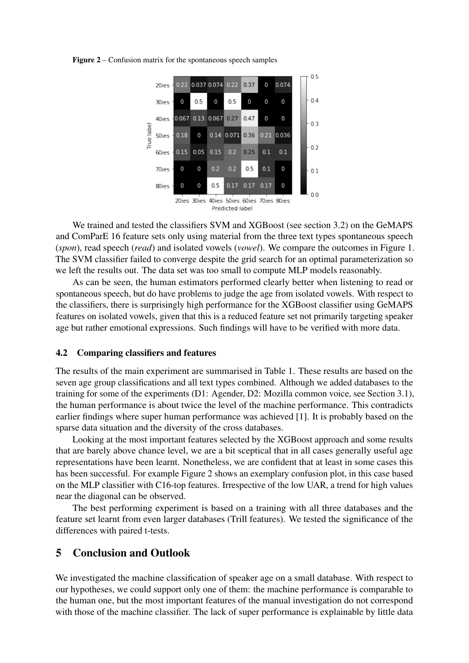

<span id="page-5-1"></span>Figure 2 – Confusion matrix for the spontaneous speech samples

Predicted label

We trained and tested the classifiers SVM and XGBoost (see section [3.2\)](#page-3-0) on the GeMAPS and ComParE 16 feature sets only using material from the three text types spontaneous speech (*spon*), read speech (*read*) and isolated vowels (*vowel*). We compare the outcomes in Figure [1.](#page-4-2) The SVM classifier failed to converge despite the grid search for an optimal parameterization so we left the results out. The data set was too small to compute MLP models reasonably.

As can be seen, the human estimators performed clearly better when listening to read or spontaneous speech, but do have problems to judge the age from isolated vowels. With respect to the classifiers, there is surprisingly high performance for the XGBoost classifier using GeMAPS features on isolated vowels, given that this is a reduced feature set not primarily targeting speaker age but rather emotional expressions. Such findings will have to be verified with more data.

#### 4.2 Comparing classifiers and features

The results of the main experiment are summarised in Table [1.](#page-6-5) These results are based on the seven age group classifications and all text types combined. Although we added databases to the training for some of the experiments (D1: Agender, D2: Mozilla common voice, see Section [3.1\)](#page-2-1), the human performance is about twice the level of the machine performance. This contradicts earlier findings where super human performance was achieved [\[1\]](#page-6-0). It is probably based on the sparse data situation and the diversity of the cross databases.

Looking at the most important features selected by the XGBoost approach and some results that are barely above chance level, we are a bit sceptical that in all cases generally useful age representations have been learnt. Nonetheless, we are confident that at least in some cases this has been successful. For example Figure [2](#page-5-1) shows an exemplary confusion plot, in this case based on the MLP classifier with C16-top features. Irrespective of the low UAR, a trend for high values near the diagonal can be observed.

The best performing experiment is based on a training with all three databases and the feature set learnt from even larger databases (Trill features). We tested the significance of the differences with paired t-tests.

# <span id="page-5-0"></span>5 Conclusion and Outlook

We investigated the machine classification of speaker age on a small database. With respect to our hypotheses, we could support only one of them: the machine performance is comparable to the human one, but the most important features of the manual investigation do not correspond with those of the machine classifier. The lack of super performance is explainable by little data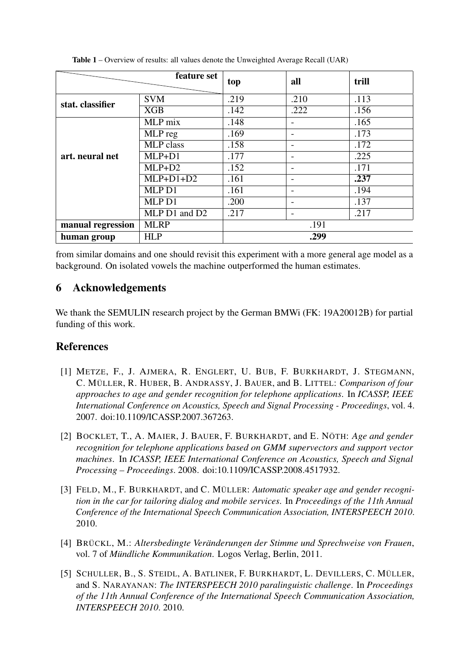|                   | feature set      | top  | all                      | trill |
|-------------------|------------------|------|--------------------------|-------|
| <b>SVM</b>        |                  | .219 | .210                     | .113  |
| stat. classifier  | <b>XGB</b>       | .142 | .222                     | .156  |
|                   |                  |      |                          |       |
| art. neural net   | MLP mix          | .148 |                          | .165  |
|                   | MLP reg          | .169 | $\overline{\phantom{0}}$ | .173  |
|                   | <b>MLP</b> class | .158 | $\overline{\phantom{0}}$ | .172  |
|                   | $MLP+D1$         | .177 |                          | .225  |
|                   | $MLP+D2$         | .152 | $\overline{\phantom{0}}$ | .171  |
|                   | $MLP+D1+D2$      | .161 | $\overline{\phantom{0}}$ | .237  |
|                   | MLP D1           | .161 | $\overline{\phantom{a}}$ | .194  |
|                   | MLP D1           | .200 | $\overline{\phantom{0}}$ | .137  |
|                   | MLP D1 and D2    | .217 | $\overline{\phantom{a}}$ | .217  |
| manual regression | <b>MLRP</b>      | .191 |                          |       |
| human group       | <b>HLP</b>       | .299 |                          |       |

<span id="page-6-5"></span>Table 1 – Overview of results: all values denote the Unweighted Average Recall (UAR)

from similar domains and one should revisit this experiment with a more general age model as a background. On isolated vowels the machine outperformed the human estimates.

# 6 Acknowledgements

We thank the SEMULIN research project by the German BMWi (FK: 19A20012B) for partial funding of this work.

# References

- <span id="page-6-0"></span>[1] METZE, F., J. AJMERA, R. ENGLERT, U. BUB, F. BURKHARDT, J. STEGMANN, C. MÜLLER, R. HUBER, B. ANDRASSY, J. BAUER, and B. LITTEL: *Comparison of four approaches to age and gender recognition for telephone applications*. In *ICASSP, IEEE International Conference on Acoustics, Speech and Signal Processing - Proceedings*, vol. 4. 2007. doi[:10.1109/ICASSP.2007.367263.](https://doi.org/10.1109/ICASSP.2007.367263)
- <span id="page-6-1"></span>[2] BOCKLET, T., A. MAIER, J. BAUER, F. BURKHARDT, and E. NÖTH: *Age and gender recognition for telephone applications based on GMM supervectors and support vector machines*. In *ICASSP, IEEE International Conference on Acoustics, Speech and Signal Processing – Proceedings*. 2008. doi[:10.1109/ICASSP.2008.4517932.](https://doi.org/10.1109/ICASSP.2008.4517932)
- <span id="page-6-2"></span>[3] FELD, M., F. BURKHARDT, and C. MÜLLER: *Automatic speaker age and gender recognition in the car for tailoring dialog and mobile services*. In *Proceedings of the 11th Annual Conference of the International Speech Communication Association, INTERSPEECH 2010*. 2010.
- <span id="page-6-3"></span>[4] BRÜCKL, M.: *Altersbedingte Veränderungen der Stimme und Sprechweise von Frauen*, vol. 7 of *Mündliche Kommunikation*. Logos Verlag, Berlin, 2011.
- <span id="page-6-4"></span>[5] SCHULLER, B., S. STEIDL, A. BATLINER, F. BURKHARDT, L. DEVILLERS, C. MÜLLER, and S. NARAYANAN: *The INTERSPEECH 2010 paralinguistic challenge*. In *Proceedings of the 11th Annual Conference of the International Speech Communication Association, INTERSPEECH 2010*. 2010.